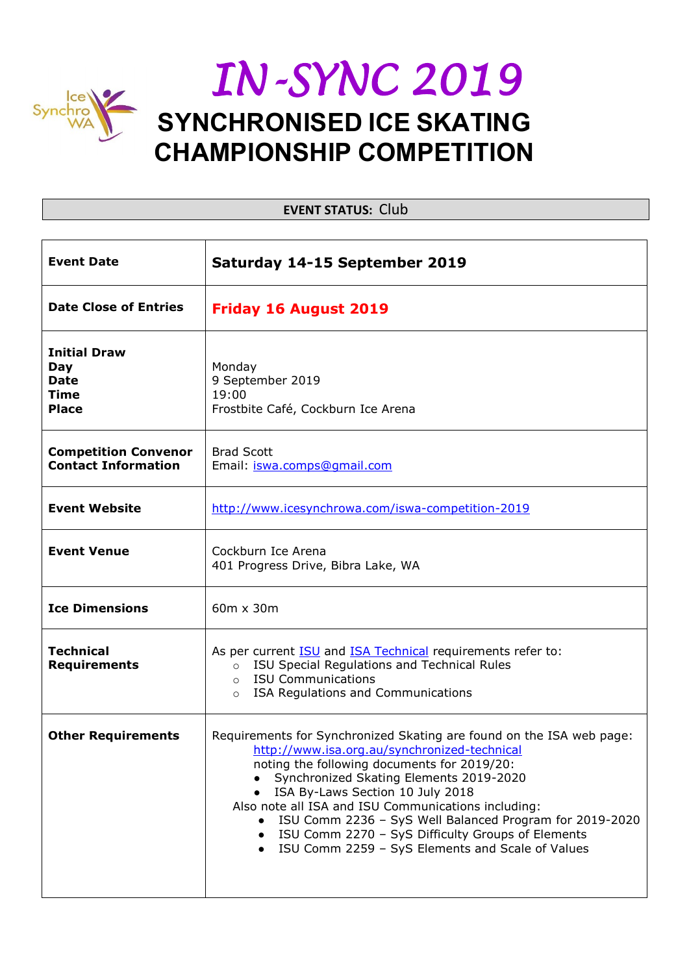

**EVENT STATUS:** Club **Event Date Saturday 14-15 September 2019 Date Close of Entries Friday 16 August 2019 Initial Draw Day Date Time Place** Monday 9 September 2019 19:00 Frostbite Café, Cockburn Ice Arena **Competition Convenor Contact Information** Brad Scott Email: [iswa.comps@gmail.com](mailto:iswa.comps@gmail.com) **Event Website** <http://www.icesynchrowa.com/iswa-competition-2019> **Event Venue Cockburn Ice Arena** 401 Progress Drive, Bibra Lake, WA **Ice Dimensions** 60m x 30m **Technical Requirements** As per current **ISU** and **ISA Technical** requirements refer to: o ISU Special Regulations and Technical Rules o ISU Communications o ISA Regulations and Communications **Other Requirements** | Requirements for Synchronized Skating are found on the ISA web page: <http://www.isa.org.au/synchronized-technical> noting the following documents for 2019/20: ● Synchronized Skating Elements 2019-2020 ● ISA By-Laws Section 10 July 2018 Also note all ISA and ISU Communications including: ● ISU Comm 2236 – SyS Well Balanced Program for 2019-2020 ● ISU Comm 2270 – SyS Difficulty Groups of Elements ● ISU Comm 2259 – SyS Elements and Scale of Values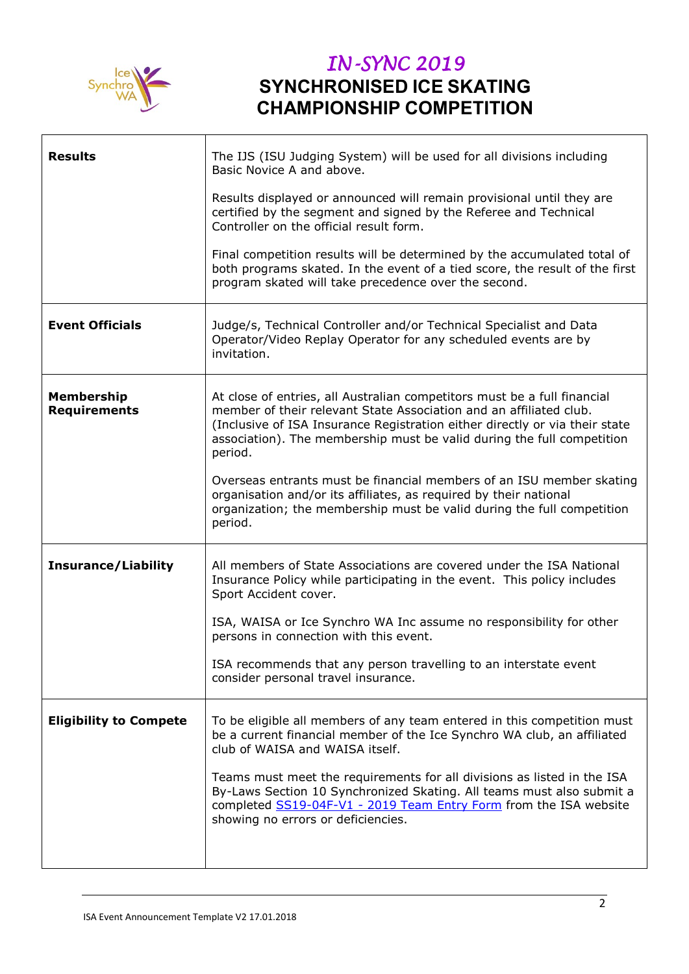

| <b>Results</b>                           | The IJS (ISU Judging System) will be used for all divisions including<br>Basic Novice A and above.                                                                                                                                                                                                                 |  |
|------------------------------------------|--------------------------------------------------------------------------------------------------------------------------------------------------------------------------------------------------------------------------------------------------------------------------------------------------------------------|--|
|                                          | Results displayed or announced will remain provisional until they are<br>certified by the segment and signed by the Referee and Technical<br>Controller on the official result form.                                                                                                                               |  |
|                                          | Final competition results will be determined by the accumulated total of<br>both programs skated. In the event of a tied score, the result of the first<br>program skated will take precedence over the second.                                                                                                    |  |
| <b>Event Officials</b>                   | Judge/s, Technical Controller and/or Technical Specialist and Data<br>Operator/Video Replay Operator for any scheduled events are by<br>invitation.                                                                                                                                                                |  |
| <b>Membership</b><br><b>Requirements</b> | At close of entries, all Australian competitors must be a full financial<br>member of their relevant State Association and an affiliated club.<br>(Inclusive of ISA Insurance Registration either directly or via their state<br>association). The membership must be valid during the full competition<br>period. |  |
|                                          | Overseas entrants must be financial members of an ISU member skating<br>organisation and/or its affiliates, as required by their national<br>organization; the membership must be valid during the full competition<br>period.                                                                                     |  |
| <b>Insurance/Liability</b>               | All members of State Associations are covered under the ISA National<br>Insurance Policy while participating in the event. This policy includes<br>Sport Accident cover.                                                                                                                                           |  |
|                                          | ISA, WAISA or Ice Synchro WA Inc assume no responsibility for other<br>persons in connection with this event.                                                                                                                                                                                                      |  |
|                                          | ISA recommends that any person travelling to an interstate event<br>consider personal travel insurance.                                                                                                                                                                                                            |  |
| <b>Eligibility to Compete</b>            | To be eligible all members of any team entered in this competition must<br>be a current financial member of the Ice Synchro WA club, an affiliated<br>club of WAISA and WAISA itself.                                                                                                                              |  |
|                                          | Teams must meet the requirements for all divisions as listed in the ISA<br>By-Laws Section 10 Synchronized Skating. All teams must also submit a<br>completed SS19-04F-V1 - 2019 Team Entry Form from the ISA website<br>showing no errors or deficiencies.                                                        |  |
|                                          |                                                                                                                                                                                                                                                                                                                    |  |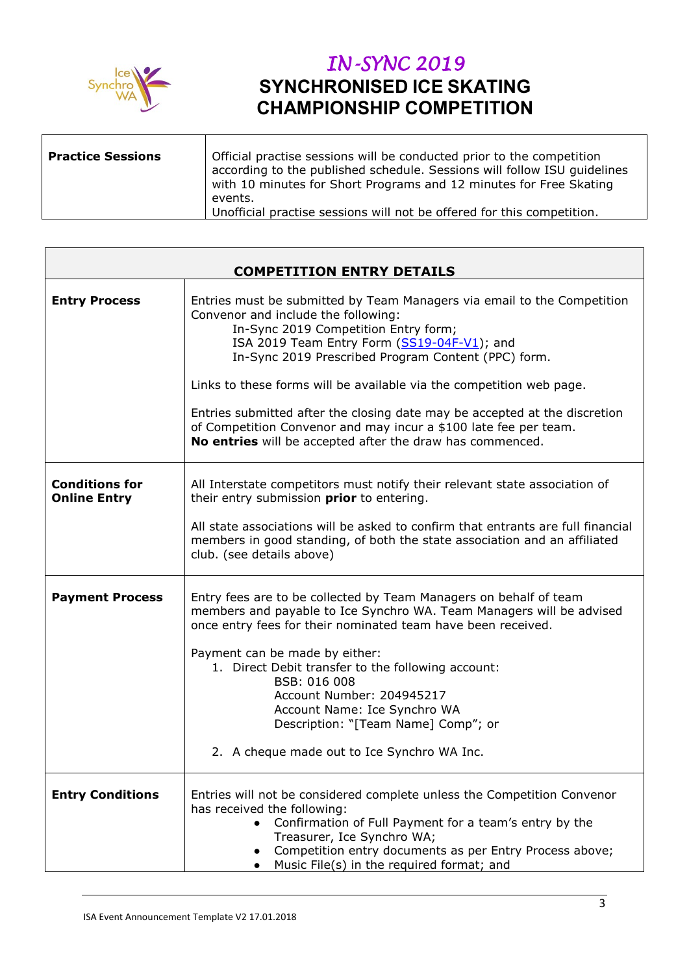

| Unofficial practise sessions will not be offered for this competition. |
|------------------------------------------------------------------------|
|------------------------------------------------------------------------|

| <b>COMPETITION ENTRY DETAILS</b>             |                                                                                                                                                                                                                                                                                                                                                                                                                                                                                                                                                     |
|----------------------------------------------|-----------------------------------------------------------------------------------------------------------------------------------------------------------------------------------------------------------------------------------------------------------------------------------------------------------------------------------------------------------------------------------------------------------------------------------------------------------------------------------------------------------------------------------------------------|
| <b>Entry Process</b>                         | Entries must be submitted by Team Managers via email to the Competition<br>Convenor and include the following:<br>In-Sync 2019 Competition Entry form;<br>ISA 2019 Team Entry Form (SS19-04F-V1); and<br>In-Sync 2019 Prescribed Program Content (PPC) form.<br>Links to these forms will be available via the competition web page.<br>Entries submitted after the closing date may be accepted at the discretion<br>of Competition Convenor and may incur a \$100 late fee per team.<br>No entries will be accepted after the draw has commenced. |
| <b>Conditions for</b><br><b>Online Entry</b> | All Interstate competitors must notify their relevant state association of<br>their entry submission <b>prior</b> to entering.<br>All state associations will be asked to confirm that entrants are full financial<br>members in good standing, of both the state association and an affiliated<br>club. (see details above)                                                                                                                                                                                                                        |
| <b>Payment Process</b>                       | Entry fees are to be collected by Team Managers on behalf of team<br>members and payable to Ice Synchro WA. Team Managers will be advised<br>once entry fees for their nominated team have been received.<br>Payment can be made by either:<br>1. Direct Debit transfer to the following account:<br>BSB: 016 008<br>Account Number: 204945217<br>Account Name: Ice Synchro WA<br>Description: "[Team Name] Comp"; or<br>2. A cheque made out to Ice Synchro WA Inc.                                                                                |
| <b>Entry Conditions</b>                      | Entries will not be considered complete unless the Competition Convenor<br>has received the following:<br>Confirmation of Full Payment for a team's entry by the<br>$\bullet$<br>Treasurer, Ice Synchro WA;<br>Competition entry documents as per Entry Process above;<br>Music File(s) in the required format; and                                                                                                                                                                                                                                 |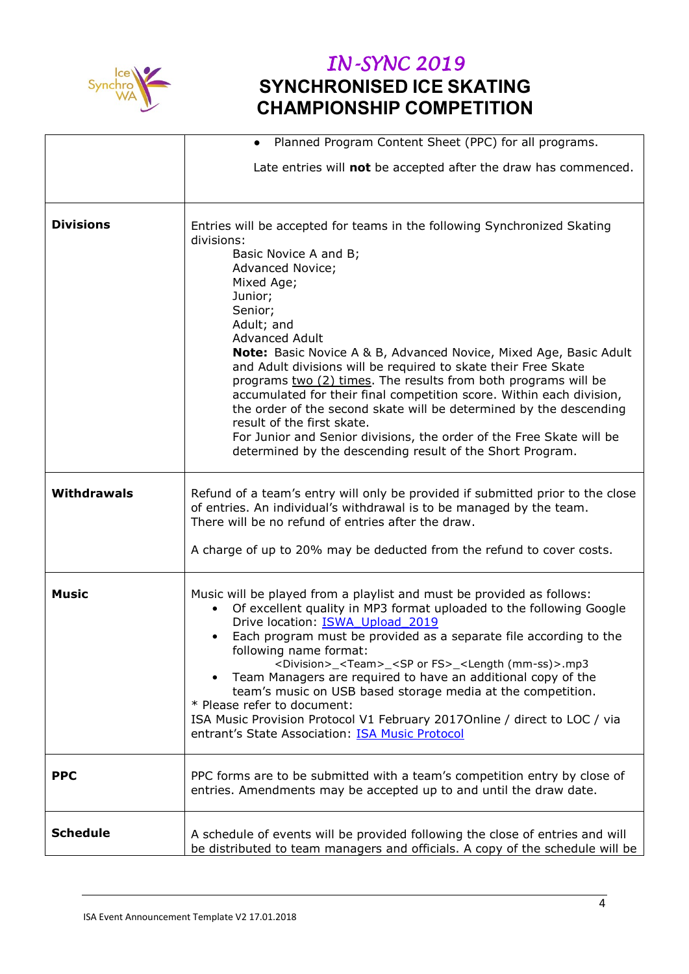

|                    | Planned Program Content Sheet (PPC) for all programs.                                                                                                                                                                                                                                                                                                                                                                                                                                                                                                                                                                                                                                                                                           |
|--------------------|-------------------------------------------------------------------------------------------------------------------------------------------------------------------------------------------------------------------------------------------------------------------------------------------------------------------------------------------------------------------------------------------------------------------------------------------------------------------------------------------------------------------------------------------------------------------------------------------------------------------------------------------------------------------------------------------------------------------------------------------------|
|                    | Late entries will not be accepted after the draw has commenced.                                                                                                                                                                                                                                                                                                                                                                                                                                                                                                                                                                                                                                                                                 |
| <b>Divisions</b>   | Entries will be accepted for teams in the following Synchronized Skating<br>divisions:<br>Basic Novice A and B;<br>Advanced Novice;<br>Mixed Age;<br>Junior;<br>Senior;<br>Adult; and<br><b>Advanced Adult</b><br><b>Note:</b> Basic Novice A & B, Advanced Novice, Mixed Age, Basic Adult<br>and Adult divisions will be required to skate their Free Skate<br>programs two (2) times. The results from both programs will be<br>accumulated for their final competition score. Within each division,<br>the order of the second skate will be determined by the descending<br>result of the first skate.<br>For Junior and Senior divisions, the order of the Free Skate will be<br>determined by the descending result of the Short Program. |
| <b>Withdrawals</b> | Refund of a team's entry will only be provided if submitted prior to the close<br>of entries. An individual's withdrawal is to be managed by the team.<br>There will be no refund of entries after the draw.<br>A charge of up to 20% may be deducted from the refund to cover costs.                                                                                                                                                                                                                                                                                                                                                                                                                                                           |
| <b>Music</b>       | Music will be played from a playlist and must be provided as follows:<br>Of excellent quality in MP3 format uploaded to the following Google<br>Drive location: <b>ISWA Upload 2019</b><br>Each program must be provided as a separate file according to the<br>following name format:<br><division>_<team>_<sp fs="" or="">_<length (mm-ss)="">.mp3<br/>Team Managers are required to have an additional copy of the<br/>team's music on USB based storage media at the competition.<br/>* Please refer to document:<br/>ISA Music Provision Protocol V1 February 2017Online / direct to LOC / via<br/>entrant's State Association: ISA Music Protocol</length></sp></team></division>                                                         |
| <b>PPC</b>         | PPC forms are to be submitted with a team's competition entry by close of<br>entries. Amendments may be accepted up to and until the draw date.                                                                                                                                                                                                                                                                                                                                                                                                                                                                                                                                                                                                 |
| <b>Schedule</b>    | A schedule of events will be provided following the close of entries and will<br>be distributed to team managers and officials. A copy of the schedule will be                                                                                                                                                                                                                                                                                                                                                                                                                                                                                                                                                                                  |